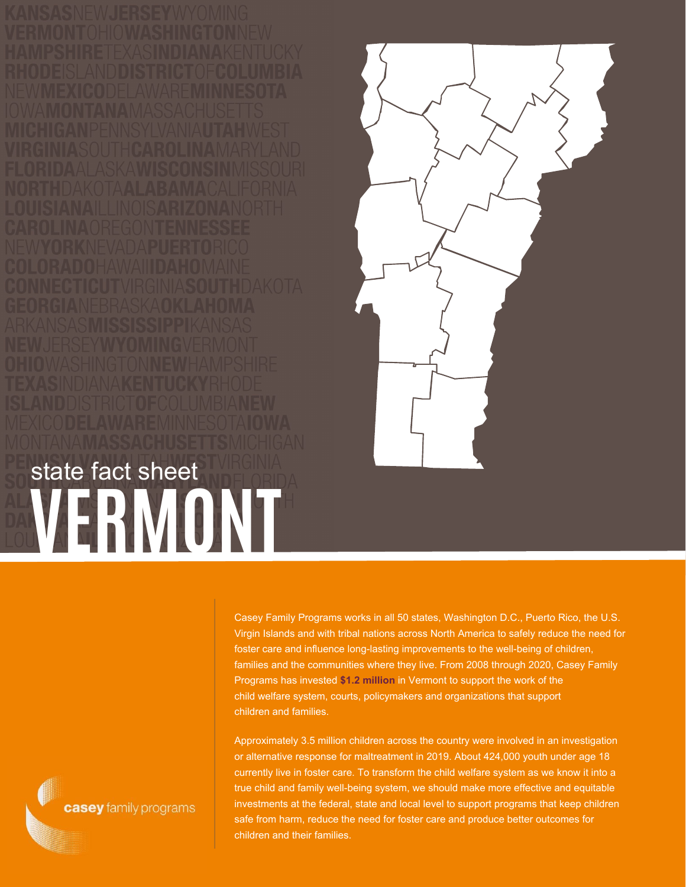**VERMONT** state fact sheet



Casey Family Programs works in all 50 states, Washington D.C., Puerto Rico, the U.S. Virgin Islands and with tribal nations across North America to safely reduce the need for foster care and influence long-lasting improvements to the well-being of children, families and the communities where they live. From 2008 through 2020, Casey Family Programs has invested **\$1.2 million** in Vermont to support the work of the child welfare system, courts, policymakers and organizations that support children and families.

Approximately 3.5 million children across the country were involved in an investigation or alternative response for maltreatment in 2019. About 424,000 youth under age 18 currently live in foster care. To transform the child welfare system as we know it into a true child and family well-being system, we should make more effective and equitable investments at the federal, state and local level to support programs that keep children safe from harm, reduce the need for foster care and produce better outcomes for children and their families.

casey family programs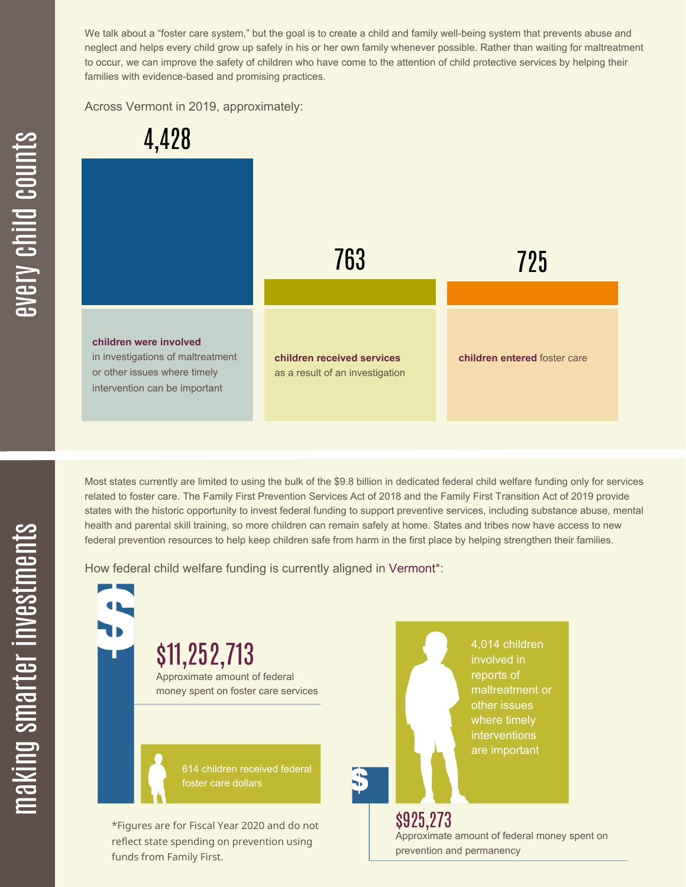We talk about a "foster care system," but the goal is to create a child and family well-being system that prevents abuse and neglect and helps every child grow up safely in his or her own family whenever possible. Rather than waiting for maltreatment to occur, we can improve the safety of children who have come to the attention of child protective services by helping their families with evidence-based and promising practices.

Across Vermont in 2019, approximately:



Most states currently are limited to using the bulk of the \$9.8 billion in dedicated federal child welfare funding only for services related to foster care. The Family First Prevention Services Act of 2018 and the Family First Transition Act of 2019 provide states with the historic opportunity to invest federal funding to support preventive services, including substance abuse, mental health and parental skill training, so more children can remain safely at home. States and tribes now have access to new federal prevention resources to help keep children safe from harm in the first place by helping strengthen their families.

How federal child welfare funding is currently aligned in Vermont\*:

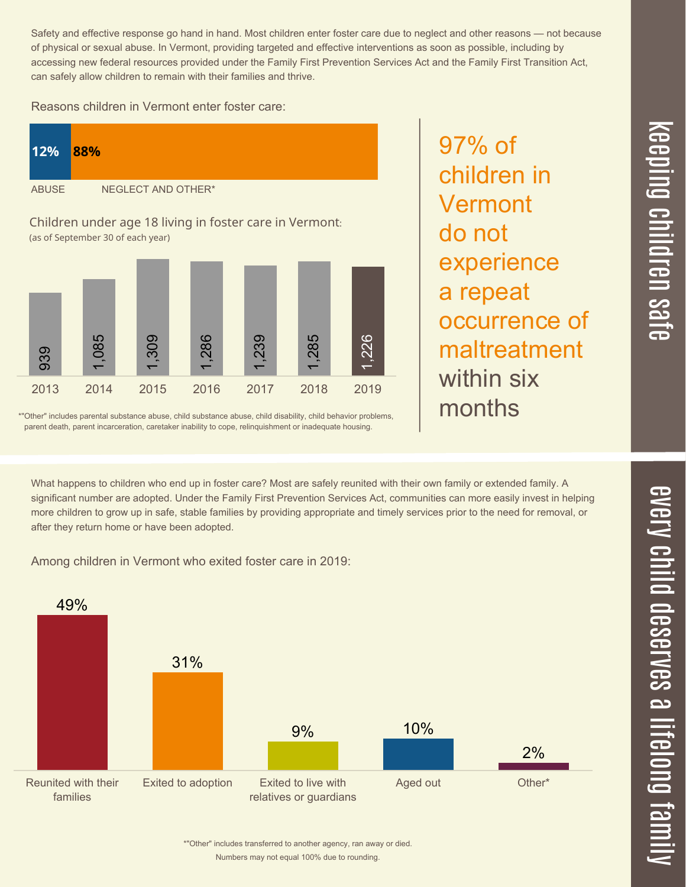$\overline{\phantom{1}}$  $\overline{\mathbf \Theta}$  $\overline{\mathbf{C}}$ <u>pin</u>  $\overline{\mathbf{C}}$  $\overline{\mathbf{C}}$  $\equiv$  $\overline{\mathbf{c}}$  $\overline{\phantom{0}}$  $\boldsymbol{\mathcal{O}}$ a  $\overrightarrow{\mathbf{e}}$ 

Safety and effective response go hand in hand. Most children enter foster care due to neglect and other reasons — not because of physical or sexual abuse. In Vermont, providing targeted and effective interventions as soon as possible, including by accessing new federal resources provided under the Family First Prevention Services Act and the Family First Transition Act, can safely allow children to remain with their families and thrive.

97% of

children in

experience

occurrence of

maltreatment

Vermont

a repeat

within six

months

do not

Reasons children in Vermont enter foster care:



\*"Other" includes parental substance abuse, child substance abuse, child disability, child behavior problems, parent death, parent incarceration, caretaker inability to cope, relinquishment or inadequate housing.

What happens to children who end up in foster care? Most are safely reunited with their own family or extended family. A significant number are adopted. Under the Family First Prevention Services Act, communities can more easily invest in helping more children to grow up in safe, stable families by providing appropriate and timely services prior to the need for removal, or after they return home or have been adopted.

Among children in Vermont who exited foster care in 2019:



Numbers may not equal 100% due to rounding. \*"Other" includes transferred to another agency, ran away or died.

 $\leq$  $\overline{\mathbf{C}}$  $\overline{\mathsf{Z}}$  $\overline{\mathbf{C}}$  $\equiv$  $\blacksquare$ e  $\boldsymbol{\mathcal{C}}$  $\overline{\mathbf{C}}$  $\overline{\phantom{a}}$  $\overline{\mathbf{C}}$  $\mathcal{C}$ <u>م</u>  $\equiv$ el<br>O  $\overline{\phantom{0}}$  $\blacksquare$ t<br>B mily

 $\overline{\mathbf{C}}$